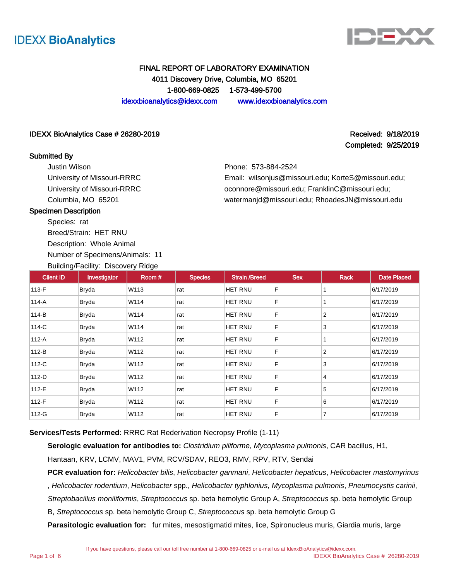



## FINAL REPORT OF LABORATORY EXAMINATION 4011 Discovery Drive, Columbia, MO 65201 1-800-669-0825 1-573-499-5700 idexxbioanalytics@idexx.com www.idexxbioanalytics.com

#### IDEXX BioAnalytics Case # 26280-2019 Received: 9/18/2019 Received: 9/18/2019

#### Submitted By

Justin Wilson University of Missouri-RRRC University of Missouri-RRRC Columbia, MO 65201

Completed: 9/25/2019

Phone: 573-884-2524

Email: wilsonjus@missouri.edu; KorteS@missouri.edu; oconnore@missouri.edu; FranklinC@missouri.edu; watermanjd@missouri.edu; RhoadesJN@missouri.edu

#### Specimen Description

Species: rat Breed/Strain: HET RNU

Description: Whole Animal

Number of Specimens/Animals: 11

Building/Facility: Discovery Ridge

| <b>Client ID</b> | Investigator | Room# | <b>Species</b> | <b>Strain /Breed</b> | <b>Sex</b> | <b>Rack</b>    | <b>Date Placed</b> |
|------------------|--------------|-------|----------------|----------------------|------------|----------------|--------------------|
| $113-F$          | <b>Bryda</b> | W113  | rat            | <b>HET RNU</b>       | F          |                | 6/17/2019          |
| 114-A            | <b>Bryda</b> | W114  | rat            | HET RNU              | F          |                | 6/17/2019          |
| 114-B            | <b>Bryda</b> | W114  | rat            | HET RNU              | F          | $\overline{2}$ | 6/17/2019          |
| 114-C            | <b>Bryda</b> | W114  | rat            | <b>HET RNU</b>       | F          | 3              | 6/17/2019          |
| 112-A            | <b>Bryda</b> | W112  | rat            | <b>HET RNU</b>       | F          |                | 6/17/2019          |
| 112-B            | <b>Bryda</b> | W112  | rat            | <b>HET RNU</b>       | F          | $\overline{2}$ | 6/17/2019          |
| 112-C            | <b>Bryda</b> | W112  | rat            | <b>HET RNU</b>       | F          | 3              | 6/17/2019          |
| $112-D$          | <b>Bryda</b> | W112  | rat            | <b>HET RNU</b>       | F          | 4              | 6/17/2019          |
| 112-E            | <b>Bryda</b> | W112  | rat            | HET RNU              | F          | 5              | 6/17/2019          |
| 112-F            | <b>Bryda</b> | W112  | rat            | <b>HET RNU</b>       | F          | 6              | 6/17/2019          |
| 112-G            | <b>Bryda</b> | W112  | rat            | HET RNU              | F          | $\overline{7}$ | 6/17/2019          |

**Services/Tests Performed:** RRRC Rat Rederivation Necropsy Profile (1-11)

**Serologic evaluation for antibodies to:** Clostridium piliforme, Mycoplasma pulmonis, CAR bacillus, H1,

Hantaan, KRV, LCMV, MAV1, PVM, RCV/SDAV, REO3, RMV, RPV, RTV, Sendai

**PCR evaluation for:** Helicobacter bilis, Helicobacter ganmani, Helicobacter hepaticus, Helicobacter mastomyrinus , Helicobacter rodentium, Helicobacter spp., Helicobacter typhlonius, Mycoplasma pulmonis, Pneumocystis carinii, Streptobacillus moniliformis, Streptococcus sp. beta hemolytic Group A, Streptococcus sp. beta hemolytic Group

B, Streptococcus sp. beta hemolytic Group C, Streptococcus sp. beta hemolytic Group G

**Parasitologic evaluation for:** fur mites, mesostigmatid mites, lice, Spironucleus muris, Giardia muris, large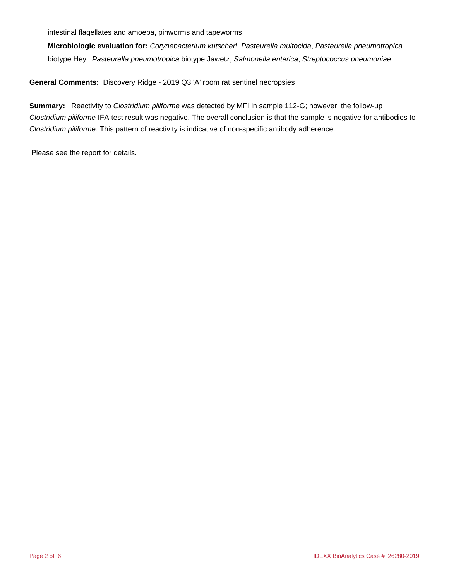intestinal flagellates and amoeba, pinworms and tapeworms

**Microbiologic evaluation for:** Corynebacterium kutscheri, Pasteurella multocida, Pasteurella pneumotropica biotype Heyl, Pasteurella pneumotropica biotype Jawetz, Salmonella enterica, Streptococcus pneumoniae

**General Comments:** Discovery Ridge - 2019 Q3 'A' room rat sentinel necropsies

**Summary:** Reactivity to *Clostridium piliforme* was detected by MFI in sample 112-G; however, the follow-up Clostridium piliforme IFA test result was negative. The overall conclusion is that the sample is negative for antibodies to Clostridium piliforme. This pattern of reactivity is indicative of non-specific antibody adherence.

Please see the report for details.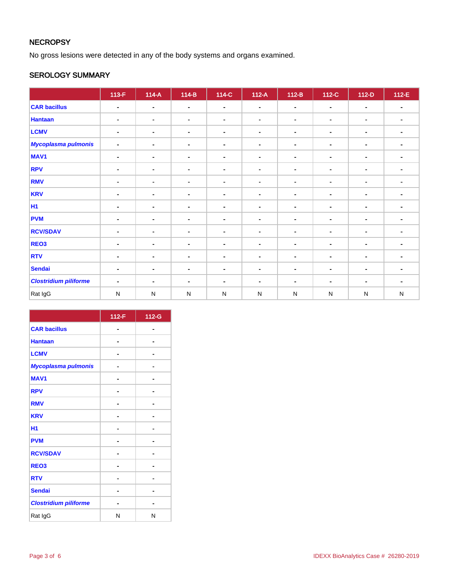## **NECROPSY**

No gross lesions were detected in any of the body systems and organs examined.

## SEROLOGY SUMMARY

|                              | $113-F$        | $114-A$        | $114-B$        | 114-C          | $112-A$        | $112-B$        | 112-C          | $112-D$        | $112-E$        |
|------------------------------|----------------|----------------|----------------|----------------|----------------|----------------|----------------|----------------|----------------|
| <b>CAR bacillus</b>          | $\blacksquare$ | $\blacksquare$ | $\blacksquare$ | $\blacksquare$ | $\blacksquare$ | $\blacksquare$ | $\blacksquare$ | $\blacksquare$ | $\blacksquare$ |
| <b>Hantaan</b>               | $\blacksquare$ | $\sim$         | $\blacksquare$ | $\blacksquare$ | $\blacksquare$ | $\blacksquare$ | ۰              | $\blacksquare$ | $\blacksquare$ |
| <b>LCMV</b>                  | $\blacksquare$ | $\blacksquare$ | $\blacksquare$ | $\blacksquare$ | $\blacksquare$ | ۰              | $\blacksquare$ | $\blacksquare$ | $\blacksquare$ |
| <b>Mycoplasma pulmonis</b>   | $\blacksquare$ | $\blacksquare$ | $\blacksquare$ | $\blacksquare$ | $\blacksquare$ | $\blacksquare$ | $\blacksquare$ | $\blacksquare$ | $\blacksquare$ |
| <b>MAV1</b>                  | $\blacksquare$ | $\blacksquare$ | $\blacksquare$ | $\blacksquare$ | $\blacksquare$ | $\blacksquare$ | $\blacksquare$ | $\blacksquare$ |                |
| <b>RPV</b>                   | $\blacksquare$ | $\blacksquare$ | $\blacksquare$ | $\blacksquare$ | $\blacksquare$ | $\blacksquare$ | $\blacksquare$ | $\blacksquare$ | $\blacksquare$ |
| <b>RMV</b>                   | $\blacksquare$ | $\sim$         | $\blacksquare$ | $\blacksquare$ | $\sim$         | $\blacksquare$ | ٠              | $\blacksquare$ | $\blacksquare$ |
| <b>KRV</b>                   | $\blacksquare$ | ۰              | $\blacksquare$ | $\blacksquare$ | $\blacksquare$ | $\blacksquare$ | ۰              | $\blacksquare$ | $\blacksquare$ |
| <b>H1</b>                    | $\blacksquare$ | $\sim$         | $\blacksquare$ | $\blacksquare$ | $\blacksquare$ | ۰.             | $\blacksquare$ | $\blacksquare$ | $\blacksquare$ |
| <b>PVM</b>                   | $\blacksquare$ | ٠              | $\sim$         | $\blacksquare$ | $\blacksquare$ | $\blacksquare$ | $\sim$         | $\blacksquare$ |                |
| <b>RCV/SDAV</b>              | $\blacksquare$ | $\sim$         | $\blacksquare$ | $\blacksquare$ | $\blacksquare$ | $\blacksquare$ | ۰              | $\blacksquare$ | $\blacksquare$ |
| REO <sub>3</sub>             | $\blacksquare$ | ٠              | $\blacksquare$ | $\blacksquare$ | $\blacksquare$ | $\blacksquare$ | $\blacksquare$ | $\blacksquare$ | $\blacksquare$ |
| <b>RTV</b>                   | $\blacksquare$ | $\blacksquare$ | $\blacksquare$ | $\blacksquare$ | $\blacksquare$ | $\blacksquare$ | $\blacksquare$ | $\blacksquare$ |                |
| <b>Sendai</b>                | ۰              | ۰              | $\blacksquare$ | ٠              | $\blacksquare$ | ٠              | $\blacksquare$ | $\blacksquare$ |                |
| <b>Clostridium piliforme</b> | $\blacksquare$ | $\blacksquare$ | $\blacksquare$ | ۰              | $\blacksquare$ | ۰              | $\blacksquare$ | $\blacksquare$ | $\blacksquare$ |
| Rat IgG                      | ${\sf N}$      | $\mathsf{N}$   | ${\sf N}$      | N              | ${\sf N}$      | ${\sf N}$      | ${\sf N}$      | ${\sf N}$      | ${\sf N}$      |

|                              | 112-F | 112-G |
|------------------------------|-------|-------|
| <b>CAR bacillus</b>          |       |       |
| <b>Hantaan</b>               |       |       |
| <b>LCMV</b>                  |       |       |
| Mycoplasma pulmonis          |       |       |
| <b>MAV1</b>                  |       |       |
| <b>RPV</b>                   |       |       |
| <b>RMV</b>                   |       |       |
| <b>KRV</b>                   |       |       |
| H1                           |       |       |
| <b>PVM</b>                   |       |       |
| <b>RCV/SDAV</b>              |       |       |
| REO <sub>3</sub>             |       |       |
| <b>RTV</b>                   |       |       |
| <b>Sendai</b>                |       |       |
| <b>Clostridium piliforme</b> |       |       |
| Rat IgG                      | N     | N     |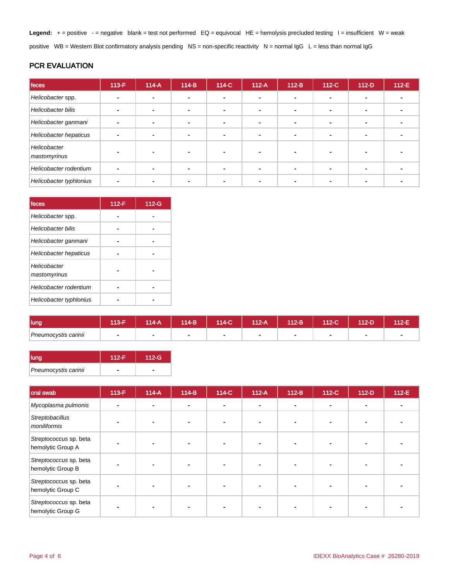Legend: + = positive - = negative blank = test not performed EQ = equivocal HE = hemolysis precluded testing I = insufficient W = weak positive WB = Western Blot confirmatory analysis pending NS = non-specific reactivity N = normal IgG L = less than normal IgG

## PCR EVALUATION

| feces                        | $113-F$ | $114-A$ | $114-B$        | 114-C          | $112-A$ | $112-B$ | $112-C$ | $112-D$        | $112-E$ |
|------------------------------|---------|---------|----------------|----------------|---------|---------|---------|----------------|---------|
| Helicobacter spp.            |         |         | -              |                |         |         |         |                |         |
| Helicobacter bilis           |         |         | -              | ۰.             |         |         | ۰       |                |         |
| Helicobacter ganmani         |         |         | $\blacksquare$ | $\blacksquare$ |         |         |         | $\blacksquare$ |         |
| Helicobacter hepaticus       |         |         |                | ۰              |         |         |         |                |         |
| Helicobacter<br>mastomyrinus |         |         |                |                |         |         |         |                |         |
| Helicobacter rodentium       |         |         |                | $\blacksquare$ |         |         |         | $\blacksquare$ |         |
| Helicobacter typhlonius      |         |         |                |                |         |         |         |                |         |

| feces                        | $112-F$ | 112-G |
|------------------------------|---------|-------|
| Helicobacter spp.            |         |       |
| <b>Helicobacter bilis</b>    |         |       |
| Helicobacter ganmani         |         |       |
| Helicobacter hepaticus       |         |       |
| Helicobacter<br>mastomyrinus |         |       |
| Helicobacter rodentium       |         |       |
| Helicobacter typhlonius      |         |       |

| lung                 | 40E | $14-A$ | 114-B | 114-C | $112-A$ | 112-B | 112-C | $12-D$ | 112-E |
|----------------------|-----|--------|-------|-------|---------|-------|-------|--------|-------|
| Pneumocystis carinii |     |        |       |       | ۰       |       |       |        |       |

| <b>lung</b>          | 112-F | $112-G$ |
|----------------------|-------|---------|
| Pneumocystis carinii |       |         |

| oral swab                                   | 113-F | $114-A$ | $114-B$ | 114-C                    | $112-A$ | $112-B$        | $112-C$ | $112-D$                  | 112-E |
|---------------------------------------------|-------|---------|---------|--------------------------|---------|----------------|---------|--------------------------|-------|
| Mycoplasma pulmonis                         |       |         | $\sim$  | $\overline{\phantom{a}}$ |         | $\blacksquare$ |         | $\overline{\phantom{a}}$ |       |
| Streptobacillus<br>moniliformis             |       |         |         |                          |         |                |         |                          |       |
| Streptococcus sp. beta<br>hemolytic Group A |       |         |         |                          |         |                |         |                          |       |
| Streptococcus sp. beta<br>hemolytic Group B |       |         |         |                          |         |                |         |                          |       |
| Streptococcus sp. beta<br>hemolytic Group C |       |         |         |                          |         |                |         |                          |       |
| Streptococcus sp. beta<br>hemolytic Group G |       |         |         |                          |         |                |         |                          |       |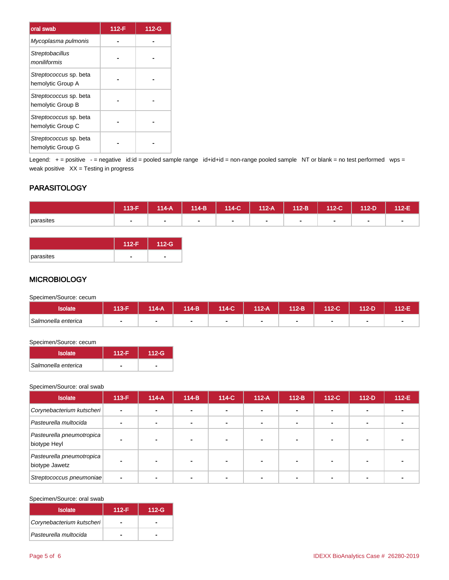| oral swab                                   | 112-F | 112-G |
|---------------------------------------------|-------|-------|
| Mycoplasma pulmonis                         |       |       |
| Streptobacillus<br>moniliformis             |       |       |
| Streptococcus sp. beta<br>hemolytic Group A |       |       |
| Streptococcus sp. beta<br>hemolytic Group B |       |       |
| Streptococcus sp. beta<br>hemolytic Group C |       |       |
| Streptococcus sp. beta<br>hemolytic Group G |       |       |

Legend: + = positive - = negative id:id = pooled sample range id+id+id = non-range pooled sample NT or blank = no test performed wps = weak positive  $XX =$  Testing in progress

## PARASITOLOGY

|           | 113-F | 114-A | $114-B$ | 114-C | $112-A$ | $112-B$ | 112-C                    | 112-D | $112-E$ |
|-----------|-------|-------|---------|-------|---------|---------|--------------------------|-------|---------|
| parasites |       |       |         |       | . .     | . .     | $\overline{\phantom{a}}$ |       |         |

|           | $112-G$        |
|-----------|----------------|
| parasites | $\blacksquare$ |

#### **MICROBIOLOGY**

Specimen/Source: cecum

| <b>Isolate</b>      | $13-F$ | 114-A | 114-B | 114-C | $12-A$ | 112-B | 112-C | 112-D | $12-E$ |
|---------------------|--------|-------|-------|-------|--------|-------|-------|-------|--------|
| Salmonella enterica |        |       |       |       | -      |       | -     |       |        |

#### Specimen/Source: cecum

| <b>Isolate</b>      | 112-F | 112-G |  |
|---------------------|-------|-------|--|
| Salmonella enterica |       |       |  |

#### Specimen/Source: oral swab

| <b>Isolate</b>                              | $113-F$        | $114-A$ | $114-B$ | 114-C | $112-A$ | $112-B$ | 112-C | $112-D$ | $112-E$ |
|---------------------------------------------|----------------|---------|---------|-------|---------|---------|-------|---------|---------|
| Corynebacterium kutscheri                   | $\blacksquare$ |         |         |       |         |         |       |         |         |
| Pasteurella multocida                       |                |         |         |       |         |         |       |         |         |
| Pasteurella pneumotropica<br>biotype Heyl   |                |         |         |       |         |         |       |         |         |
| Pasteurella pneumotropica<br>biotype Jawetz |                |         |         |       |         |         |       |         |         |
| Streptococcus pneumoniae                    | $\blacksquare$ |         |         |       |         |         |       |         |         |

#### Specimen/Source: oral swab

| <b>Isolate</b>            | $112-F$ | $112-G$ |
|---------------------------|---------|---------|
| Corynebacterium kutscheri | -       |         |
| Pasteurella multocida     |         |         |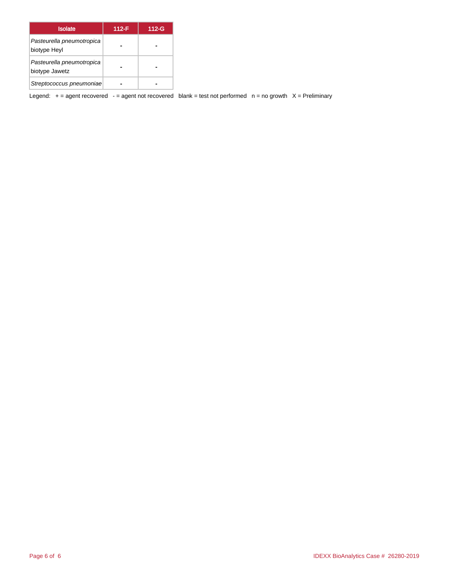| <b>Isolate</b>                              | $112-F$ | 112-G |
|---------------------------------------------|---------|-------|
| Pasteurella pneumotropica<br>biotype Heyl   |         |       |
| Pasteurella pneumotropica<br>biotype Jawetz |         |       |
| Streptococcus pneumoniae                    |         |       |

Legend:  $+$  = agent recovered - = agent not recovered blank = test not performed  $n$  = no growth  $X$  = Preliminary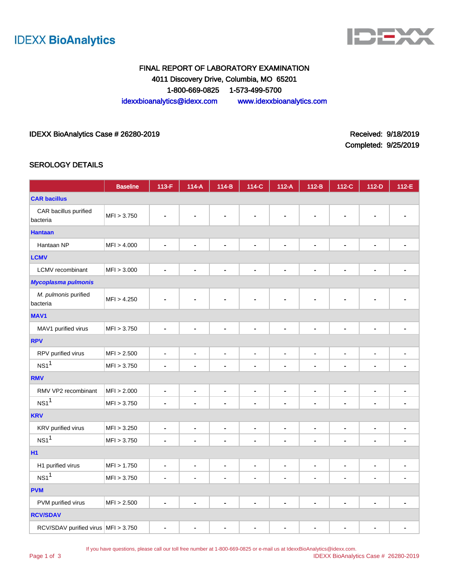



## FINAL REPORT OF LABORATORY EXAMINATION 4011 Discovery Drive, Columbia, MO 65201 1-800-669-0825 1-573-499-5700 idexxbioanalytics@idexx.com www.idexxbioanalytics.com

#### IDEXX BioAnalytics Case # 26280-2019 **Received: 9/18/2019** Received: 9/18/2019

Completed: 9/25/2019

#### SEROLOGY DETAILS

|                                       | <b>Baseline</b> | 113-F                        | $114-A$                      | $114-B$                      | 114-C          | $112-A$                      | $112-B$        | 112-C                        | $112-D$                      | 112-E          |
|---------------------------------------|-----------------|------------------------------|------------------------------|------------------------------|----------------|------------------------------|----------------|------------------------------|------------------------------|----------------|
| <b>CAR bacillus</b>                   |                 |                              |                              |                              |                |                              |                |                              |                              |                |
| CAR bacillus purified<br>bacteria     | MFI > 3.750     |                              |                              |                              |                |                              |                |                              |                              |                |
| <b>Hantaan</b>                        |                 |                              |                              |                              |                |                              |                |                              |                              |                |
| Hantaan NP                            | MFI > 4.000     |                              |                              | ÷                            | $\blacksquare$ | $\blacksquare$               | $\blacksquare$ | $\blacksquare$               | $\blacksquare$               |                |
| <b>LCMV</b>                           |                 |                              |                              |                              |                |                              |                |                              |                              |                |
| LCMV recombinant                      | MFI > 3.000     | $\blacksquare$               | $\blacksquare$               | $\qquad \qquad \blacksquare$ | $\blacksquare$ | $\qquad \qquad \blacksquare$ | $\blacksquare$ | ä,                           | $\blacksquare$               | $\blacksquare$ |
| <b>Mycoplasma pulmonis</b>            |                 |                              |                              |                              |                |                              |                |                              |                              |                |
| M. pulmonis purified<br>bacteria      | MFI > 4.250     |                              |                              |                              |                |                              | $\blacksquare$ | $\blacksquare$               | $\blacksquare$               |                |
| <b>MAV1</b>                           |                 |                              |                              |                              |                |                              |                |                              |                              |                |
| MAV1 purified virus                   | MFI > 3.750     | $\blacksquare$               |                              | ۰                            | $\blacksquare$ | $\qquad \qquad \blacksquare$ | ۰              | $\blacksquare$               | -                            |                |
| <b>RPV</b>                            |                 |                              |                              |                              |                |                              |                |                              |                              |                |
| RPV purified virus                    | MFI > 2.500     | $\qquad \qquad \blacksquare$ | ٠                            | $\qquad \qquad \blacksquare$ | $\blacksquare$ | $\qquad \qquad \blacksquare$ | $\blacksquare$ | $\blacksquare$               | $\blacksquare$               |                |
| NS1 <sup>1</sup>                      | MFI > 3.750     | ä,                           |                              | $\blacksquare$               | $\blacksquare$ | $\blacksquare$               | ä,             | $\blacksquare$               | $\blacksquare$               |                |
| <b>RMV</b>                            |                 |                              |                              |                              |                |                              |                |                              |                              |                |
| RMV VP2 recombinant                   | MFI > 2.000     | $\blacksquare$               | $\blacksquare$               | $\blacksquare$               | $\blacksquare$ | $\blacksquare$               | $\blacksquare$ | $\qquad \qquad \blacksquare$ | $\blacksquare$               | ÷              |
| NS1 <sup>1</sup>                      | MFI > 3.750     | $\overline{\phantom{a}}$     | ۰                            | $\blacksquare$               | $\blacksquare$ |                              | $\blacksquare$ | $\blacksquare$               | $\overline{\phantom{a}}$     | ۰              |
| <b>KRV</b>                            |                 |                              |                              |                              |                |                              |                |                              |                              |                |
| KRV purified virus                    | MFI > 3.250     | $\blacksquare$               | $\blacksquare$               | $\qquad \qquad \blacksquare$ | $\blacksquare$ | $\blacksquare$               | $\blacksquare$ | $\blacksquare$               | $\blacksquare$               | ٠              |
| NS1 <sup>1</sup>                      | MFI > 3.750     | ä,                           |                              | ÷,                           | $\overline{a}$ | $\blacksquare$               | ä,             | $\blacksquare$               | $\blacksquare$               |                |
| <b>H1</b>                             |                 |                              |                              |                              |                |                              |                |                              |                              |                |
| H1 purified virus                     | MFI > 1.750     | $\blacksquare$               | $\qquad \qquad \blacksquare$ | $\blacksquare$               | $\blacksquare$ | $\blacksquare$               | $\blacksquare$ | $\blacksquare$               | $\blacksquare$               | ٠              |
| NS1 <sup>1</sup>                      | MFI > 3.750     | $\blacksquare$               | ٠                            | $\blacksquare$               | $\blacksquare$ | $\blacksquare$               | ä,             | $\overline{a}$               | $\overline{\phantom{a}}$     |                |
| <b>PVM</b>                            |                 |                              |                              |                              |                |                              |                |                              |                              |                |
| PVM purified virus                    | MFI > 2.500     | ä,                           | $\blacksquare$               | ä,                           | $\blacksquare$ | $\blacksquare$               | $\blacksquare$ | $\blacksquare$               | ä,                           |                |
| <b>RCV/SDAV</b>                       |                 |                              |                              |                              |                |                              |                |                              |                              |                |
| RCV/SDAV purified virus   MFI > 3.750 |                 | $\blacksquare$               | $\blacksquare$               | $\qquad \qquad \blacksquare$ | $\blacksquare$ | $\blacksquare$               | $\blacksquare$ | $\blacksquare$               | $\qquad \qquad \blacksquare$ | $\blacksquare$ |

If you have questions, please call our toll free number at 1-800-669-0825 or e-mail us at IdexxBioAnalytics@idexx.com.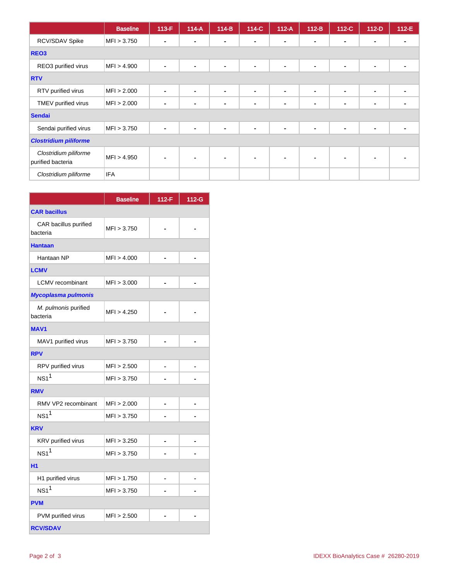|                                            | <b>Baseline</b> | $113-F$        | $114-A$ | 114-B          | 114-C          | $112-A$        | $112-B$        | 112-C          | $112-D$        | 112-E          |
|--------------------------------------------|-----------------|----------------|---------|----------------|----------------|----------------|----------------|----------------|----------------|----------------|
| RCV/SDAV Spike                             | MFI > 3.750     |                | -       | $\blacksquare$ | ۰.             | $\blacksquare$ | $\blacksquare$ | $\blacksquare$ | $\blacksquare$ |                |
| REO <sub>3</sub>                           |                 |                |         |                |                |                |                |                |                |                |
| REO3 purified virus                        | MFI > 4.900     | $\blacksquare$ | ٠       | ۰              | $\blacksquare$ | $\blacksquare$ | $\blacksquare$ | $\blacksquare$ | $\blacksquare$ | $\blacksquare$ |
| <b>RTV</b>                                 |                 |                |         |                |                |                |                |                |                |                |
| RTV purified virus                         | MFI > 2.000     | ۰              |         | ٠              | ۰              | $\blacksquare$ | $\blacksquare$ | $\blacksquare$ | $\blacksquare$ |                |
| TMEV purified virus                        | MFI > 2.000     |                |         | $\blacksquare$ | $\blacksquare$ | $\blacksquare$ | $\blacksquare$ | $\blacksquare$ | $\blacksquare$ |                |
| <b>Sendai</b>                              |                 |                |         |                |                |                |                |                |                |                |
| Sendai purified virus                      | MFI > 3.750     | $\blacksquare$ |         | $\blacksquare$ | $\blacksquare$ | $\blacksquare$ | $\blacksquare$ | $\blacksquare$ | $\blacksquare$ | ۰              |
| <b>Clostridium piliforme</b>               |                 |                |         |                |                |                |                |                |                |                |
| Clostridium piliforme<br>purified bacteria | MFI > 4.950     |                |         | $\blacksquare$ | $\blacksquare$ | $\sim$         | $\blacksquare$ | $\blacksquare$ |                |                |
| Clostridium piliforme                      | <b>IFA</b>      |                |         |                |                |                |                |                |                |                |

|                                   | <b>Baseline</b> | $112-F$ | 112-G |
|-----------------------------------|-----------------|---------|-------|
| <b>CAR bacillus</b>               |                 |         |       |
| CAR bacillus purified<br>bacteria | MFI > 3.750     |         |       |
| <b>Hantaan</b>                    |                 |         |       |
| Hantaan NP                        | MFI > 4.000     |         |       |
| <b>LCMV</b>                       |                 |         |       |
| <b>LCMV</b> recombinant           | MFI > 3.000     |         |       |
| <b>Mycoplasma pulmonis</b>        |                 |         |       |
| M. pulmonis purified<br>bacteria  | MFI > 4.250     |         |       |
| <b>MAV1</b>                       |                 |         |       |
| MAV1 purified virus               | MFI > 3.750     |         |       |
| <b>RPV</b>                        |                 |         |       |
| RPV purified virus                | MFI > 2.500     |         |       |
| $NS1$ <sup>1</sup>                | MFI > 3.750     |         |       |
| <b>RMV</b>                        |                 |         |       |
| RMV VP2 recombinant               | MFI > 2.000     | ÷       |       |
| $NS1$ <sup>1</sup>                | MFI > 3.750     |         |       |
| <b>KRV</b>                        |                 |         |       |
| KRV purified virus                | MFI > 3.250     |         |       |
| $NS1$ <sup>1</sup>                | MFI > 3.750     |         |       |
| <b>H1</b>                         |                 |         |       |
| H1 purified virus                 | MFI > 1.750     |         |       |
| $NS1$ <sup>1</sup>                | MFI > 3.750     |         |       |
| <b>PVM</b>                        |                 |         |       |
| PVM purified virus                | MFI > 2.500     |         |       |
| <b>RCV/SDAV</b>                   |                 |         |       |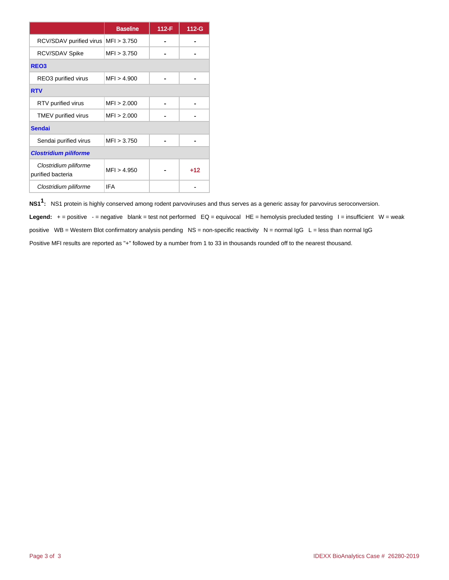|                                            | <b>Baseline</b> | 112-F | 112-G |
|--------------------------------------------|-----------------|-------|-------|
| RCV/SDAV purified virus                    | MFI > 3.750     |       |       |
| RCV/SDAV Spike                             | MF1 > 3.750     |       |       |
| REO <sub>3</sub>                           |                 |       |       |
| REO3 purified virus                        | MFI > 4.900     |       |       |
| <b>RTV</b>                                 |                 |       |       |
| RTV purified virus                         | MFI > 2.000     |       |       |
| TMEV purified virus                        | MFI > 2.000     |       |       |
| <b>Sendai</b>                              |                 |       |       |
| Sendai purified virus                      | MFI > 3.750     |       |       |
| <b>Clostridium piliforme</b>               |                 |       |       |
| Clostridium piliforme<br>purified bacteria | MFI > 4.950     |       | $+12$ |
| Clostridium piliforme                      | <b>IFA</b>      |       |       |

**NS11 :** NS1 protein is highly conserved among rodent parvoviruses and thus serves as a generic assay for parvovirus seroconversion. Legend: + = positive - = negative blank = test not performed EQ = equivocal HE = hemolysis precluded testing I = insufficient W = weak positive  $WB = Western Blot confirmatory analysis pending NS = non-specific reactivity  $N = normal IgG L = less than normal IgG$$ Positive MFI results are reported as "+" followed by a number from 1 to 33 in thousands rounded off to the nearest thousand.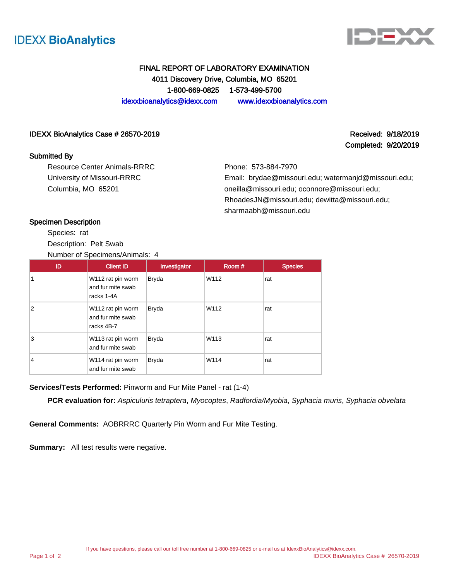



## FINAL REPORT OF LABORATORY EXAMINATION 4011 Discovery Drive, Columbia, MO 65201 1-800-669-0825 1-573-499-5700 idexxbioanalytics@idexx.com www.idexxbioanalytics.com

#### IDEXX BioAnalytics Case # 26570-2019 Received: 9/18/2019 Received: 9/18/2019

#### Submitted By

Resource Center Animals-RRRC University of Missouri-RRRC Columbia, MO 65201

Completed: 9/20/2019

Phone: 573-884-7970 Email: brydae@missouri.edu; watermanjd@missouri.edu; oneilla@missouri.edu; oconnore@missouri.edu; RhoadesJN@missouri.edu; dewitta@missouri.edu; sharmaabh@missouri.edu

#### Specimen Description

Species: rat Description: Pelt Swab Number of Specimens/Animals: 4

| ID | <b>Client ID</b>                                     | Investigator | Room # | <b>Species</b> |
|----|------------------------------------------------------|--------------|--------|----------------|
|    | W112 rat pin worm<br>and fur mite swab<br>racks 1-4A | <b>Bryda</b> | W112   | rat            |
| 2  | W112 rat pin worm<br>and fur mite swab<br>racks 4B-7 | <b>Bryda</b> | W112   | rat            |
| 3  | W113 rat pin worm<br>and fur mite swab               | <b>Bryda</b> | W113   | rat            |
| 4  | W114 rat pin worm<br>and fur mite swab               | <b>Bryda</b> | W114   | rat            |

**Services/Tests Performed:** Pinworm and Fur Mite Panel - rat (1-4)

**PCR evaluation for:** Aspiculuris tetraptera, Myocoptes, Radfordia/Myobia, Syphacia muris, Syphacia obvelata

**General Comments:** AOBRRRC Quarterly Pin Worm and Fur Mite Testing.

**Summary:** All test results were negative.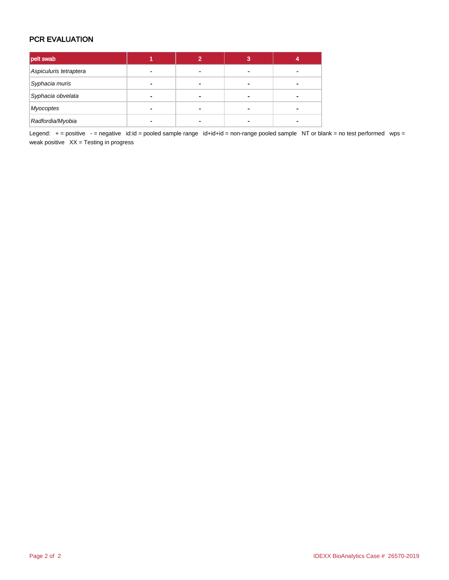## PCR EVALUATION

| pelt swab              |   |   | з |  |
|------------------------|---|---|---|--|
| Aspiculuris tetraptera |   | - |   |  |
| Syphacia muris         |   |   |   |  |
| Syphacia obvelata      | ۰ |   |   |  |
| <b>Myocoptes</b>       |   | - |   |  |
| Radfordia/Myobia       |   |   |   |  |

Legend: + = positive - = negative id:id = pooled sample range id+id+id = non-range pooled sample NT or blank = no test performed wps = weak positive  $XX =$  Testing in progress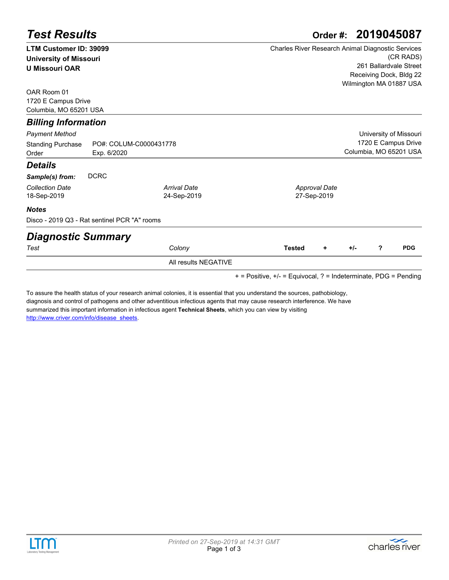|                               | Order #: 2019045087<br><b>Test Results</b>   |                      |                                                          |  |  |  |  |  |
|-------------------------------|----------------------------------------------|----------------------|----------------------------------------------------------|--|--|--|--|--|
| <b>LTM Customer ID: 39099</b> |                                              |                      | <b>Charles River Research Animal Diagnostic Services</b> |  |  |  |  |  |
| <b>University of Missouri</b> |                                              |                      | (CR RADS)                                                |  |  |  |  |  |
| <b>U Missouri OAR</b>         |                                              |                      | 261 Ballardvale Street                                   |  |  |  |  |  |
|                               |                                              |                      | Receiving Dock, Bldg 22                                  |  |  |  |  |  |
| OAR Room 01                   |                                              |                      | Wilmington MA 01887 USA                                  |  |  |  |  |  |
| 1720 E Campus Drive           |                                              |                      |                                                          |  |  |  |  |  |
| Columbia, MO 65201 USA        |                                              |                      |                                                          |  |  |  |  |  |
| <b>Billing Information</b>    |                                              |                      |                                                          |  |  |  |  |  |
| Payment Method                |                                              |                      | University of Missouri                                   |  |  |  |  |  |
| <b>Standing Purchase</b>      | PO#: COLUM-C0000431778                       |                      | 1720 E Campus Drive                                      |  |  |  |  |  |
| Order                         | Exp. 6/2020                                  |                      | Columbia, MO 65201 USA                                   |  |  |  |  |  |
| Details                       |                                              |                      |                                                          |  |  |  |  |  |
| Sample(s) from:               | <b>DCRC</b>                                  |                      |                                                          |  |  |  |  |  |
| <b>Collection Date</b>        |                                              | <b>Arrival Date</b>  | <b>Approval Date</b>                                     |  |  |  |  |  |
| 18-Sep-2019                   |                                              | 24-Sep-2019          | 27-Sep-2019                                              |  |  |  |  |  |
| <b>Notes</b>                  |                                              |                      |                                                          |  |  |  |  |  |
|                               | Disco - 2019 Q3 - Rat sentinel PCR "A" rooms |                      |                                                          |  |  |  |  |  |
| <b>Diagnostic Summary</b>     |                                              |                      |                                                          |  |  |  |  |  |
| Test                          |                                              | Colony               | <b>PDG</b><br>?<br><b>Tested</b><br>+/-<br>÷             |  |  |  |  |  |
|                               |                                              | All results NEGATIVE |                                                          |  |  |  |  |  |

+ = Positive, +/- = Equivocal, ? = Indeterminate, PDG = Pending

To assure the health status of your research animal colonies, it is essential that you understand the sources, pathobiology, [diagnosis and control of pathogens and other adventitious infectious agents that may cause research interference. We have](http://www.criver.com/info/disease_sheets)  summarized this important information in infectious agent **Technical Sheets**, which you can view by visiting http://www.criver.com/info/disease\_sheets.



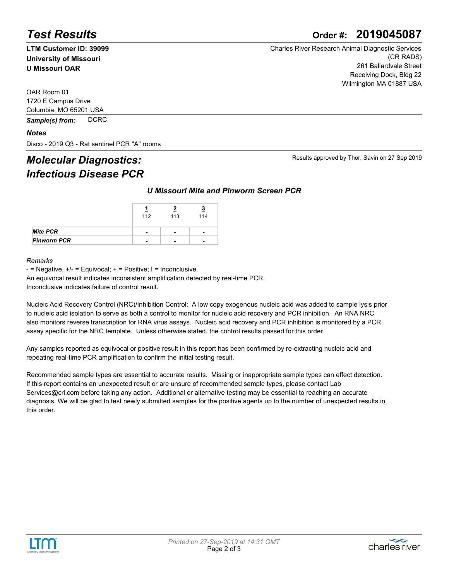# *Test Results* **Order #: 2019045087**

**LTM Customer ID: 39099 University of Missouri U Missouri OAR**

Charles River Research Animal Diagnostic Services (CR RADS) 261 Ballardvale Street Receiving Dock, Bldg 22 Wilmington MA 01887 USA

OAR Room 01 1720 E Campus Drive Columbia, MO 65201 USA

*Sample(s) from:* DCRC

#### *Notes*

Disco - 2019 Q3 - Rat sentinel PCR "A" rooms

## *Molecular Diagnostics: Infectious Disease PCR*

#### *U Missouri Mite and Pinworm Screen PCR*

|                    | 112                      | 113            | <u>ୁ</u><br>114 |
|--------------------|--------------------------|----------------|-----------------|
| <b>Mite PCR</b>    | $\overline{\phantom{0}}$ | $\blacksquare$ | -               |
| <b>Pinworm PCR</b> | -                        | -              |                 |

#### *Remarks*

 $-$  = Negative,  $+/-$  = Equivocal;  $+$  = Positive; I = Inconclusive.

An equivocal result indicates inconsistent amplification detected by real-time PCR.

Inconclusive indicates failure of control result.

Nucleic Acid Recovery Control (NRC)/Inhibition Control: A low copy exogenous nucleic acid was added to sample lysis prior to nucleic acid isolation to serve as both a control to monitor for nucleic acid recovery and PCR inhibition. An RNA NRC also monitors reverse transcription for RNA virus assays. Nucleic acid recovery and PCR inhibition is monitored by a PCR assay specific for the NRC template. Unless otherwise stated, the control results passed for this order.

Any samples reported as equivocal or positive result in this report has been confirmed by re-extracting nucleic acid and repeating real-time PCR amplification to confirm the initial testing result.

Recommended sample types are essential to accurate results. Missing or inappropriate sample types can effect detection. If this report contains an unexpected result or are unsure of recommended sample types, please contact Lab Services@crl.com before taking any action. Additional or alternative testing may be essential to reaching an accurate diagnosis. We will be glad to test newly submitted samples for the positive agents up to the number of unexpected results in this order.





Results approved by Thor, Savin on 27 Sep 2019